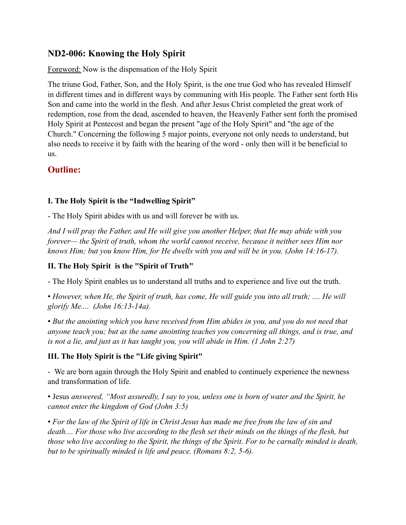# **ND2-006: Knowing the Holy Spirit**

Foreword: Now is the dispensation of the Holy Spirit

The triune God, Father, Son, and the Holy Spirit, is the one true God who has revealed Himself in different times and in different ways by communing with His people. The Father sent forth His Son and came into the world in the flesh. And after Jesus Christ completed the great work of redemption, rose from the dead, ascended to heaven, the Heavenly Father sent forth the promised Holy Spirit at Pentecost and began the present "age of the Holy Spirit" and "the age of the Church." Concerning the following 5 major points, everyone not only needs to understand, but also needs to receive it by faith with the hearing of the word - only then will it be beneficial to us.

# **Outline:**

### **I. The Holy Spirit is the "Indwelling Spirit"**

- The Holy Spirit abides with us and will forever be with us.

*And I will pray the Father, and He will give you another Helper, that He may abide with you forever— the Spirit of truth, whom the world cannot receive, because it neither sees Him nor knows Him; but you know Him, for He dwells with you and will be in you. (John 14:16-17).*

### **II. The Holy Spirit is the "Spirit of Truth"**

- The Holy Spirit enables us to understand all truths and to experience and live out the truth.

▪ *However, when He, the Spirit of truth, has come, He will guide you into all truth; .... He will glorify Me.... (John 16:13-14a).*

▪ *But the anointing which you have received from Him abides in you, and you do not need that anyone teach you; but as the same anointing teaches you concerning all things, and is true, and is not a lie, and just as it has taught you, you will abide in Him. (1 John 2:27)*

#### **III. The Holy Spirit is the "Life giving Spirit"**

- We are born again through the Holy Spirit and enabled to continuely experience the newness and transformation of life.

▪ Jesus *answered, "Most assuredly, I say to you, unless one is born of water and the Spirit, he cannot enter the kingdom of God (John 3:5)*

▪ *For the law of the Spirit of life in Christ Jesus has made me free from the law of sin and death.... For those who live according to the flesh set their minds on the things of the flesh, but those who live according to the Spirit, the things of the Spirit. For to be carnally minded is death, but to be spiritually minded is life and peace. (Romans 8:2, 5-6).*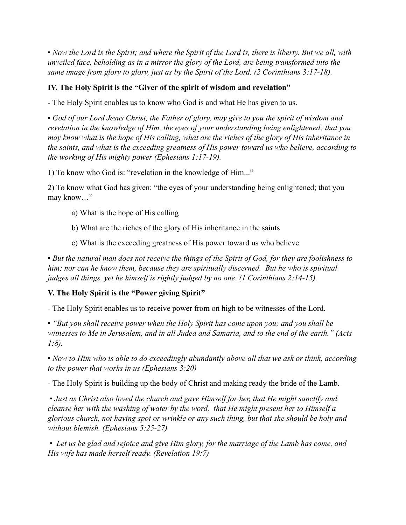▪ *Now the Lord is the Spirit; and where the Spirit of the Lord is, there is liberty. But we all, with unveiled face, beholding as in a mirror the glory of the Lord, are being transformed into the same image from glory to glory, just as by the Spirit of the Lord. (2 Corinthians 3:17-18).*

### **IV. The Holy Spirit is the "Giver of the spirit of wisdom and revelation"**

- The Holy Spirit enables us to know who God is and what He has given to us.

▪ *God of our Lord Jesus Christ, the Father of glory, may give to you the spirit of wisdom and revelation in the knowledge of Him, the eyes of your understanding being enlightened; that you may know what is the hope of His calling, what are the riches of the glory of His inheritance in the saints, and what is the exceeding greatness of His power toward us who believe, according to the working of His mighty power (Ephesians 1:17-19).*

1) To know who God is: "revelation in the knowledge of Him..."

2) To know what God has given: "the eyes of your understanding being enlightened; that you may know…"

- a) What is the hope of His calling
- b) What are the riches of the glory of His inheritance in the saints
- c) What is the exceeding greatness of His power toward us who believe

▪ *But the natural man does not receive the things of the Spirit of God, for they are foolishness to him; nor can he know them, because they are spiritually discerned. But he who is spiritual judges all things, yet he himself is rightly judged by no one*. *(1 Corinthians 2:14-15).*

#### **V. The Holy Spirit is the "Power giving Spirit"**

- The Holy Spirit enables us to receive power from on high to be witnesses of the Lord.

▪ *"But you shall receive power when the Holy Spirit has come upon you; and you shall be witnesses to Me in Jerusalem, and in all Judea and Samaria, and to the end of the earth." (Acts 1:8).*

*▪ Now to Him who is able to do exceedingly abundantly above all that we ask or think, according to the power that works in us (Ephesians 3:20)*

- The Holy Spirit is building up the body of Christ and making ready the bride of the Lamb.

*▪ Just as Christ also loved the church and gave Himself for her, that He might sanctify and cleanse her with the washing of water by the word, that He might present her to Himself a glorious church, not having spot or wrinkle or any such thing, but that she should be holy and without blemish. (Ephesians 5:25-27)*

*▪ Let us be glad and rejoice and give Him glory, for the marriage of the Lamb has come, and His wife has made herself ready. (Revelation 19:7)*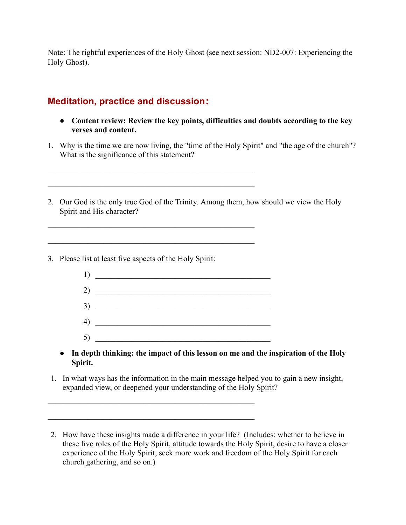Note: The rightful experiences of the Holy Ghost (see next session: ND2-007: Experiencing the Holy Ghost).

# **Meditation, practice and discussion:**

——————————————————————————

 $\overline{\phantom{a}}$  , and the contract of the contract of the contract of the contract of the contract of the contract of the contract of the contract of the contract of the contract of the contract of the contract of the contrac

 $\overline{\phantom{a}}$  , and the contract of the contract of the contract of the contract of the contract of the contract of the contract of the contract of the contract of the contract of the contract of the contract of the contrac

——————————————————————————

- **● Content review: Review the key points, difficulties and doubts according to the key verses and content.**
- 1. Why is the time we are now living, the "time of the Holy Spirit" and "the age of the church"? What is the significance of this statement?
- 2. Our God is the only true God of the Trinity. Among them, how should we view the Holy Spirit and His character?
- 3. Please list at least five aspects of the Holy Spirit:
	- 1) \_\_\_\_\_\_\_\_\_\_\_\_\_\_\_\_\_\_\_\_\_\_\_\_\_\_\_\_\_\_\_\_\_\_\_\_\_\_\_\_\_\_\_\_  $2)$  $3)$ 4) \_\_\_\_\_\_\_\_\_\_\_\_\_\_\_\_\_\_\_\_\_\_\_\_\_\_\_\_\_\_\_\_\_\_\_\_\_\_\_\_\_\_\_\_ 5) \_\_\_\_\_\_\_\_\_\_\_\_\_\_\_\_\_\_\_\_\_\_\_\_\_\_\_\_\_\_\_\_\_\_\_\_\_\_\_\_\_\_\_\_
	- **● In depth thinking: the impact of this lesson on me and the inspiration of the Holy Spirit.**
- 1. In what ways has the information in the main message helped you to gain a new insight, expanded view, or deepened your understanding of the Holy Spirit?

<sup>2.</sup> How have these insights made a difference in your life? (Includes: whether to believe in these five roles of the Holy Spirit, attitude towards the Holy Spirit, desire to have a closer experience of the Holy Spirit, seek more work and freedom of the Holy Spirit for each church gathering, and so on.)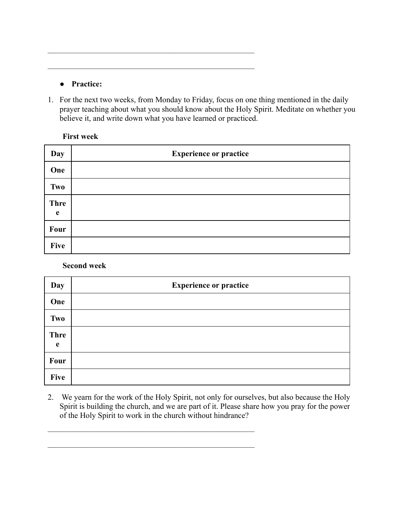### **● Practice:**

1. For the next two weeks, from Monday to Friday, focus on one thing mentioned in the daily prayer teaching about what you should know about the Holy Spirit. Meditate on whether you believe it, and write down what you have learned or practiced.

 $\overline{\phantom{a}}$  , and the contract of the contract of the contract of the contract of the contract of the contract of the contract of the contract of the contract of the contract of the contract of the contract of the contrac

 $\overline{\phantom{a}}$  , and the contract of the contract of the contract of the contract of the contract of the contract of the contract of the contract of the contract of the contract of the contract of the contract of the contrac

### **First week**

| Day              | <b>Experience or practice</b> |
|------------------|-------------------------------|
| One              |                               |
| Two              |                               |
| <b>Thre</b><br>e |                               |
| Four             |                               |
| <b>Five</b>      |                               |

**Second week**

| Day              | <b>Experience or practice</b> |
|------------------|-------------------------------|
| One              |                               |
| Two              |                               |
| <b>Thre</b><br>e |                               |
| Four             |                               |
| <b>Five</b>      |                               |

2. We yearn for the work of the Holy Spirit, not only for ourselves, but also because the Holy Spirit is building the church, and we are part of it. Please share how you pray for the power of the Holy Spirit to work in the church without hindrance?

 $\overline{\phantom{a}}$  , and the contract of the contract of the contract of the contract of the contract of the contract of the contract of the contract of the contract of the contract of the contract of the contract of the contrac

 $\frac{1}{\sqrt{2}}$  , and the contract of the contract of the contract of the contract of the contract of the contract of the contract of the contract of the contract of the contract of the contract of the contract of the contra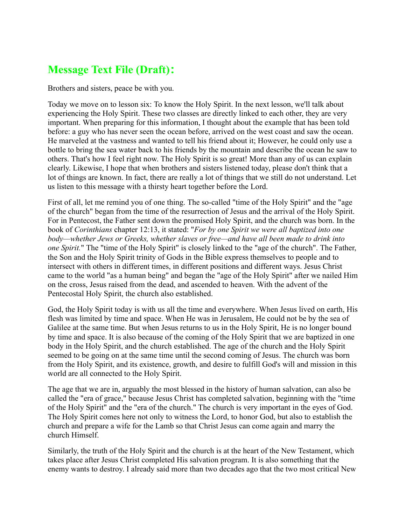# **Message Text File (Draft):**

Brothers and sisters, peace be with you.

Today we move on to lesson six: To know the Holy Spirit. In the next lesson, we'll talk about experiencing the Holy Spirit. These two classes are directly linked to each other, they are very important. When preparing for this information, I thought about the example that has been told before: a guy who has never seen the ocean before, arrived on the west coast and saw the ocean. He marveled at the vastness and wanted to tell his friend about it; However, he could only use a bottle to bring the sea water back to his friends by the mountain and describe the ocean he saw to others. That's how I feel right now. The Holy Spirit is so great! More than any of us can explain clearly. Likewise, I hope that when brothers and sisters listened today, please don't think that a lot of things are known. In fact, there are really a lot of things that we still do not understand. Let us listen to this message with a thirsty heart together before the Lord.

First of all, let me remind you of one thing. The so-called "time of the Holy Spirit" and the "age of the church" began from the time of the resurrection of Jesus and the arrival of the Holy Spirit. For in Pentecost, the Father sent down the promised Holy Spirit, and the church was born. In the book of *Corinthians* chapter 12:13, it stated: "*For by one Spirit we were all baptized into one body—whether Jews or Greeks, whether slaves or free—and have all been made to drink into one Spirit.*" The "time of the Holy Spirit" is closely linked to the "age of the church". The Father, the Son and the Holy Spirit trinity of Gods in the Bible express themselves to people and to intersect with others in different times, in different positions and different ways. Jesus Christ came to the world "as a human being" and began the "age of the Holy Spirit" after we nailed Him on the cross, Jesus raised from the dead, and ascended to heaven. With the advent of the Pentecostal Holy Spirit, the church also established.

God, the Holy Spirit today is with us all the time and everywhere. When Jesus lived on earth, His flesh was limited by time and space. When He was in Jerusalem, He could not be by the sea of Galilee at the same time. But when Jesus returns to us in the Holy Spirit, He is no longer bound by time and space. It is also because of the coming of the Holy Spirit that we are baptized in one body in the Holy Spirit, and the church established. The age of the church and the Holy Spirit seemed to be going on at the same time until the second coming of Jesus. The church was born from the Holy Spirit, and its existence, growth, and desire to fulfill God's will and mission in this world are all connected to the Holy Spirit.

The age that we are in, arguably the most blessed in the history of human salvation, can also be called the "era of grace," because Jesus Christ has completed salvation, beginning with the "time of the Holy Spirit" and the "era of the church." The church is very important in the eyes of God. The Holy Spirit comes here not only to witness the Lord, to honor God, but also to establish the church and prepare a wife for the Lamb so that Christ Jesus can come again and marry the church Himself.

Similarly, the truth of the Holy Spirit and the church is at the heart of the New Testament, which takes place after Jesus Christ completed His salvation program. It is also something that the enemy wants to destroy. I already said more than two decades ago that the two most critical New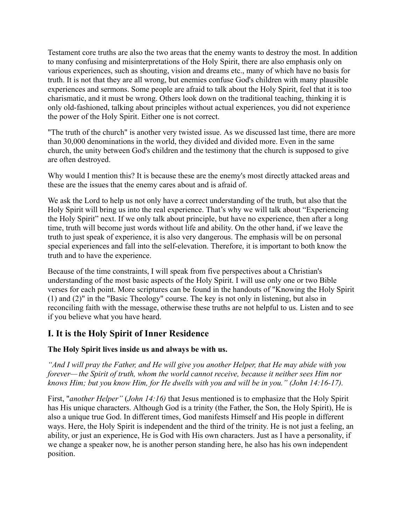Testament core truths are also the two areas that the enemy wants to destroy the most. In addition to many confusing and misinterpretations of the Holy Spirit, there are also emphasis only on various experiences, such as shouting, vision and dreams etc., many of which have no basis for truth. It is not that they are all wrong, but enemies confuse God's children with many plausible experiences and sermons. Some people are afraid to talk about the Holy Spirit, feel that it is too charismatic, and it must be wrong. Others look down on the traditional teaching, thinking it is only old-fashioned, talking about principles without actual experiences, you did not experience the power of the Holy Spirit. Either one is not correct.

"The truth of the church" is another very twisted issue. As we discussed last time, there are more than 30,000 denominations in the world, they divided and divided more. Even in the same church, the unity between God's children and the testimony that the church is supposed to give are often destroyed.

Why would I mention this? It is because these are the enemy's most directly attacked areas and these are the issues that the enemy cares about and is afraid of.

We ask the Lord to help us not only have a correct understanding of the truth, but also that the Holy Spirit will bring us into the real experience. That's why we will talk about "Experiencing the Holy Spirit" next. If we only talk about principle, but have no experience, then after a long time, truth will become just words without life and ability. On the other hand, if we leave the truth to just speak of experience, it is also very dangerous. The emphasis will be on personal special experiences and fall into the self-elevation. Therefore, it is important to both know the truth and to have the experience.

Because of the time constraints, I will speak from five perspectives about a Christian's understanding of the most basic aspects of the Holy Spirit. I will use only one or two Bible verses for each point. More scriptures can be found in the handouts of "Knowing the Holy Spirit (1) and (2)" in the "Basic Theology" course. The key is not only in listening, but also in reconciling faith with the message, otherwise these truths are not helpful to us. Listen and to see if you believe what you have heard.

# **I. It is the Holy Spirit of Inner Residence**

## **The Holy Spirit lives inside us and always be with us.**

*"And I will pray the Father, and He will give you another Helper, that He may abide with you forever— the Spirit of truth, whom the world cannot receive, because it neither sees Him nor knows Him; but you know Him, for He dwells with you and will be in you." (John 14:16-17).*

First, "*another Helper"* (*John 14:16)* that Jesus mentioned is to emphasize that the Holy Spirit has His unique characters. Although God is a trinity (the Father, the Son, the Holy Spirit), He is also a unique true God. In different times, God manifests Himself and His people in different ways. Here, the Holy Spirit is independent and the third of the trinity. He is not just a feeling, an ability, or just an experience, He is God with His own characters. Just as I have a personality, if we change a speaker now, he is another person standing here, he also has his own independent position.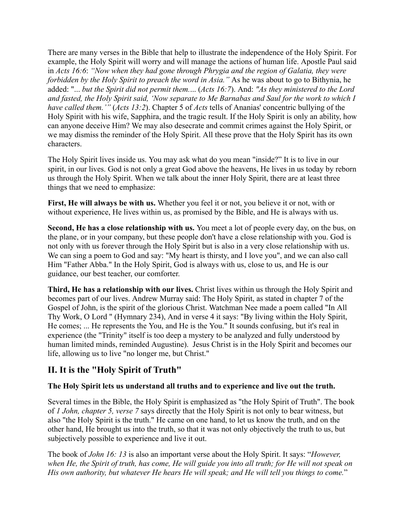There are many verses in the Bible that help to illustrate the independence of the Holy Spirit. For example, the Holy Spirit will worry and will manage the actions of human life. Apostle Paul said in *Acts 16:6*: *"Now when they had gone through Phrygia and the region of Galatia, they were forbidden by the Holy Spirit to preach the word in Asia."* As he was about to go to Bithynia, he added: "... *but the Spirit did not permit them.*... (*Acts 16:7*). And: *"As they ministered to the Lord and fasted, the Holy Spirit said, 'Now separate to Me Barnabas and Saul for the work to which I have called them.'"* (*Acts 13:2*). Chapter 5 of *Acts* tells of Ananias' concentric bullying of the Holy Spirit with his wife, Sapphira, and the tragic result. If the Holy Spirit is only an ability, how can anyone deceive Him? We may also desecrate and commit crimes against the Holy Spirit, or we may dismiss the reminder of the Holy Spirit. All these prove that the Holy Spirit has its own characters.

The Holy Spirit lives inside us. You may ask what do you mean "inside?" It is to live in our spirit, in our lives. God is not only a great God above the heavens, He lives in us today by reborn us through the Holy Spirit. When we talk about the inner Holy Spirit, there are at least three things that we need to emphasize:

**First, He will always be with us.** Whether you feel it or not, you believe it or not, with or without experience, He lives within us, as promised by the Bible, and He is always with us.

**Second, He has a close relationship with us.** You meet a lot of people every day, on the bus, on the plane, or in your company, but these people don't have a close relationship with you. God is not only with us forever through the Holy Spirit but is also in a very close relationship with us. We can sing a poem to God and say: "My heart is thirsty, and I love you", and we can also call Him "Father Abba." In the Holy Spirit, God is always with us, close to us, and He is our guidance, our best teacher, our comforter.

**Third, He has a relationship with our lives.** Christ lives within us through the Holy Spirit and becomes part of our lives. Andrew Murray said: The Holy Spirit, as stated in chapter 7 of the Gospel of John, is the spirit of the glorious Christ. Watchman Nee made a poem called "In All Thy Work, O Lord " (Hymnary 234), And in verse 4 it says: "By living within the Holy Spirit, He comes; ... He represents the You, and He is the You." It sounds confusing, but it's real in experience (the "Trinity" itself is too deep a mystery to be analyzed and fully understood by human limited minds, reminded Augustine). Jesus Christ is in the Holy Spirit and becomes our life, allowing us to live "no longer me, but Christ."

# **II. It is the "Holy Spirit of Truth"**

#### **The Holy Spirit lets us understand all truths and to experience and live out the truth.**

Several times in the Bible, the Holy Spirit is emphasized as "the Holy Spirit of Truth". The book of *1 John, chapter 5, verse 7* says directly that the Holy Spirit is not only to bear witness, but also "the Holy Spirit is the truth." He came on one hand, to let us know the truth, and on the other hand, He brought us into the truth, so that it was not only objectively the truth to us, but subjectively possible to experience and live it out.

The book of *John 16: 13* is also an important verse about the Holy Spirit. It says: "*However, when He, the Spirit of truth, has come, He will guide you into all truth; for He will not speak on His own authority, but whatever He hears He will speak; and He will tell you things to come.*"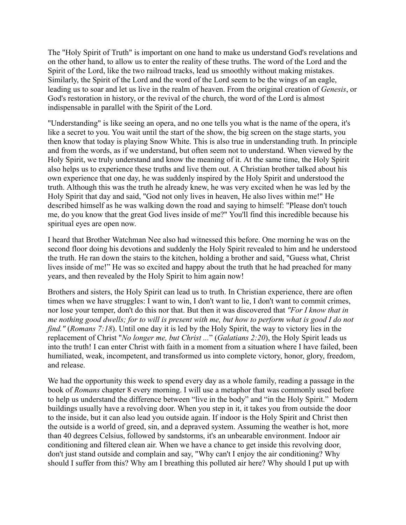The "Holy Spirit of Truth" is important on one hand to make us understand God's revelations and on the other hand, to allow us to enter the reality of these truths. The word of the Lord and the Spirit of the Lord, like the two railroad tracks, lead us smoothly without making mistakes. Similarly, the Spirit of the Lord and the word of the Lord seem to be the wings of an eagle, leading us to soar and let us live in the realm of heaven. From the original creation of *Genesis*, or God's restoration in history, or the revival of the church, the word of the Lord is almost indispensable in parallel with the Spirit of the Lord.

"Understanding" is like seeing an opera, and no one tells you what is the name of the opera, it's like a secret to you. You wait until the start of the show, the big screen on the stage starts, you then know that today is playing Snow White. This is also true in understanding truth. In principle and from the words, as if we understand, but often seem not to understand. When viewed by the Holy Spirit, we truly understand and know the meaning of it. At the same time, the Holy Spirit also helps us to experience these truths and live them out. A Christian brother talked about his own experience that one day, he was suddenly inspired by the Holy Spirit and understood the truth. Although this was the truth he already knew, he was very excited when he was led by the Holy Spirit that day and said, "God not only lives in heaven, He also lives within me!" He described himself as he was walking down the road and saying to himself: "Please don't touch me, do you know that the great God lives inside of me?" You'll find this incredible because his spiritual eyes are open now.

I heard that Brother Watchman Nee also had witnessed this before. One morning he was on the second floor doing his devotions and suddenly the Holy Spirit revealed to him and he understood the truth. He ran down the stairs to the kitchen, holding a brother and said, "Guess what, Christ lives inside of me!" He was so excited and happy about the truth that he had preached for many years, and then revealed by the Holy Spirit to him again now!

Brothers and sisters, the Holy Spirit can lead us to truth. In Christian experience, there are often times when we have struggles: I want to win, I don't want to lie, I don't want to commit crimes, nor lose your temper, don't do this nor that. But then it was discovered that *"For I know that in me nothing good dwells; for to will is present with me, but how to perform what is good I do not find."* (*Romans 7:18*). Until one day it is led by the Holy Spirit, the way to victory lies in the replacement of Christ "*No longer me, but Christ ...*" (*Galatians 2:20*), the Holy Spirit leads us into the truth! I can enter Christ with faith in a moment from a situation where I have failed, been humiliated, weak, incompetent, and transformed us into complete victory, honor, glory, freedom, and release.

We had the opportunity this week to spend every day as a whole family, reading a passage in the book of *Romans* chapter 8 every morning. I will use a metaphor that was commonly used before to help us understand the difference between "live in the body" and "in the Holy Spirit." Modern buildings usually have a revolving door. When you step in it, it takes you from outside the door to the inside, but it can also lead you outside again. If indoor is the Holy Spirit and Christ then the outside is a world of greed, sin, and a depraved system. Assuming the weather is hot, more than 40 degrees Celsius, followed by sandstorms, it's an unbearable environment. Indoor air conditioning and filtered clean air. When we have a chance to get inside this revolving door, don't just stand outside and complain and say, "Why can't I enjoy the air conditioning? Why should I suffer from this? Why am I breathing this polluted air here? Why should I put up with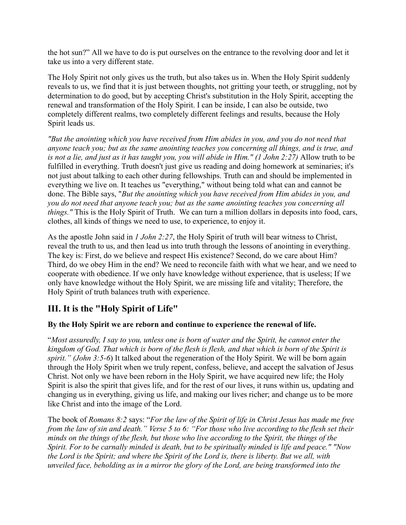the hot sun?" All we have to do is put ourselves on the entrance to the revolving door and let it take us into a very different state.

The Holy Spirit not only gives us the truth, but also takes us in. When the Holy Spirit suddenly reveals to us, we find that it is just between thoughts, not gritting your teeth, or struggling, not by determination to do good, but by accepting Christ's substitution in the Holy Spirit, accepting the renewal and transformation of the Holy Spirit. I can be inside, I can also be outside, two completely different realms, two completely different feelings and results, because the Holy Spirit leads us.

*"But the anointing which you have received from Him abides in you, and you do not need that anyone teach you; but as the same anointing teaches you concerning all things, and is true, and is not a lie, and just as it has taught you, you will abide in Him." (1 John 2:27)* Allow truth to be fulfilled in everything. Truth doesn't just give us reading and doing homework at seminaries; it's not just about talking to each other during fellowships. Truth can and should be implemented in everything we live on. It teaches us "everything," without being told what can and cannot be done. The Bible says, "*But the anointing which you have received from Him abides in you, and you do not need that anyone teach you; but as the same anointing teaches you concerning all things."* This is the Holy Spirit of Truth. We can turn a million dollars in deposits into food, cars, clothes, all kinds of things we need to use, to experience, to enjoy it.

As the apostle John said in *1 John 2:27*, the Holy Spirit of truth will bear witness to Christ, reveal the truth to us, and then lead us into truth through the lessons of anointing in everything. The key is: First, do we believe and respect His existence? Second, do we care about Him? Third, do we obey Him in the end? We need to reconcile faith with what we hear, and we need to cooperate with obedience. If we only have knowledge without experience, that is useless; If we only have knowledge without the Holy Spirit, we are missing life and vitality; Therefore, the Holy Spirit of truth balances truth with experience.

# **III. It is the "Holy Spirit of Life"**

## **By the Holy Spirit we are reborn and continue to experience the renewal of life.**

"*Most assuredly, I say to you, unless one is born of water and the Spirit, he cannot enter the kingdom of God. That which is born of the flesh is flesh, and that which is born of the Spirit is spirit." (John 3:5-6*) It talked about the regeneration of the Holy Spirit. We will be born again through the Holy Spirit when we truly repent, confess, believe, and accept the salvation of Jesus Christ. Not only we have been reborn in the Holy Spirit, we have acquired new life; the Holy Spirit is also the spirit that gives life, and for the rest of our lives, it runs within us, updating and changing us in everything, giving us life, and making our lives richer; and change us to be more like Christ and into the image of the Lord.

The book of *Romans 8:2* says: "*For the law of the Spirit of life in Christ Jesus has made me free from the law of sin and death." Verse 5 to 6: "For those who live according to the flesh set their minds on the things of the flesh, but those who live according to the Spirit, the things of the Spirit. For to be carnally minded is death, but to be spiritually minded is life and peace." "Now the Lord is the Spirit; and where the Spirit of the Lord is, there is liberty. But we all, with unveiled face, beholding as in a mirror the glory of the Lord, are being transformed into the*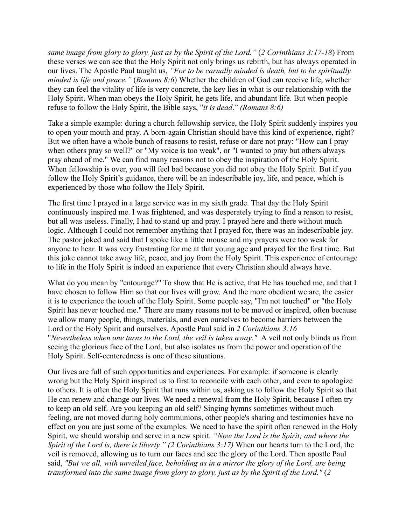*same image from glory to glory, just as by the Spirit of the Lord."* (*2 Corinthians 3:17-18*) From these verses we can see that the Holy Spirit not only brings us rebirth, but has always operated in our lives. The Apostle Paul taught us, *"For to be carnally minded is death, but to be spiritually minded is life and peace."* (*Romans 8:6*) Whether the children of God can receive life, whether they can feel the vitality of life is very concrete, the key lies in what is our relationship with the Holy Spirit. When man obeys the Holy Spirit, he gets life, and abundant life. But when people refuse to follow the Holy Spirit, the Bible says, "*it is dead*." *(Romans 8:6)*

Take a simple example: during a church fellowship service, the Holy Spirit suddenly inspires you to open your mouth and pray. A born-again Christian should have this kind of experience, right? But we often have a whole bunch of reasons to resist, refuse or dare not pray: "How can I pray when others pray so well?" or "My voice is too weak", or "I wanted to pray but others always pray ahead of me." We can find many reasons not to obey the inspiration of the Holy Spirit. When fellowship is over, you will feel bad because you did not obey the Holy Spirit. But if you follow the Holy Spirit's guidance, there will be an indescribable joy, life, and peace, which is experienced by those who follow the Holy Spirit.

The first time I prayed in a large service was in my sixth grade. That day the Holy Spirit continuously inspired me. I was frightened, and was desperately trying to find a reason to resist, but all was useless. Finally, I had to stand up and pray. I prayed here and there without much logic. Although I could not remember anything that I prayed for, there was an indescribable joy. The pastor joked and said that I spoke like a little mouse and my prayers were too weak for anyone to hear. It was very frustrating for me at that young age and prayed for the first time. But this joke cannot take away life, peace, and joy from the Holy Spirit. This experience of entourage to life in the Holy Spirit is indeed an experience that every Christian should always have.

What do you mean by "entourage?" To show that He is active, that He has touched me, and that I have chosen to follow Him so that our lives will grow. And the more obedient we are, the easier it is to experience the touch of the Holy Spirit. Some people say, "I'm not touched" or "the Holy Spirit has never touched me." There are many reasons not to be moved or inspired, often because we allow many people, things, materials, and even ourselves to become barriers between the Lord or the Holy Spirit and ourselves. Apostle Paul said in *2 Corinthians 3:16* "*Nevertheless when one turns to the Lord, the veil is taken away."* A veil not only blinds us from seeing the glorious face of the Lord, but also isolates us from the power and operation of the Holy Spirit. Self-centeredness is one of these situations.

Our lives are full of such opportunities and experiences. For example: if someone is clearly wrong but the Holy Spirit inspired us to first to reconcile with each other, and even to apologize to others. It is often the Holy Spirit that runs within us, asking us to follow the Holy Spirit so that He can renew and change our lives. We need a renewal from the Holy Spirit, because I often try to keep an old self. Are you keeping an old self? Singing hymns sometimes without much feeling, are not moved during holy communions, other people's sharing and testimonies have no effect on you are just some of the examples. We need to have the spirit often renewed in the Holy Spirit, we should worship and serve in a new spirit. *"Now the Lord is the Spirit; and where the Spirit of the Lord is, there is liberty." (2 Corinthians 3:17)* When our hearts turn to the Lord, the veil is removed, allowing us to turn our faces and see the glory of the Lord. Then apostle Paul said, *"But we all, with unveiled face, beholding as in a mirror the glory of the Lord, are being transformed into the same image from glory to glory, just as by the Spirit of the Lord."* (*2*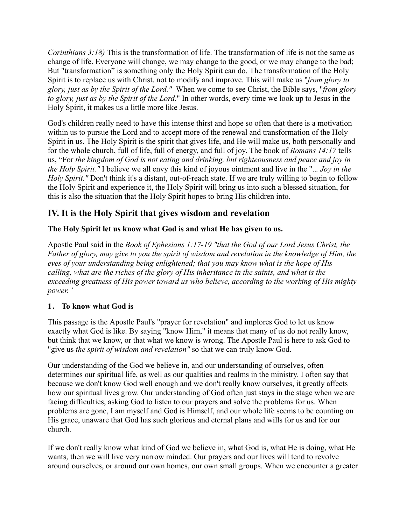*Corinthians 3:18)* This is the transformation of life. The transformation of life is not the same as change of life. Everyone will change, we may change to the good, or we may change to the bad; But "transformation" is something only the Holy Spirit can do. The transformation of the Holy Spirit is to replace us with Christ, not to modify and improve. This will make us "*from glory to glory, just as by the Spirit of the Lord."* When we come to see Christ, the Bible says, "*from glory to glory, just as by the Spirit of the Lord*." In other words, every time we look up to Jesus in the Holy Spirit, it makes us a little more like Jesus.

God's children really need to have this intense thirst and hope so often that there is a motivation within us to pursue the Lord and to accept more of the renewal and transformation of the Holy Spirit in us. The Holy Spirit is the spirit that gives life, and He will make us, both personally and for the whole church, full of life, full of energy, and full of joy. The book of *Romans 14:17* tells us, "For *the kingdom of God is not eating and drinking, but righteousness and peace and joy in the Holy Spirit."* I believe we all envy this kind of joyous ointment and live in the "..*. Joy in the Holy Spirit."* Don't think it's a distant, out-of-reach state. If we are truly willing to begin to follow the Holy Spirit and experience it, the Holy Spirit will bring us into such a blessed situation, for this is also the situation that the Holy Spirit hopes to bring His children into.

# **IV. It is the Holy Spirit that gives wisdom and revelation**

### **The Holy Spirit let us know what God is and what He has given to us.**

Apostle Paul said in the *Book of Ephesians 1:17-19 "that the God of our Lord Jesus Christ, the Father of glory, may give to you the spirit of wisdom and revelation in the knowledge of Him, the eyes of your understanding being enlightened; that you may know what is the hope of His calling, what are the riches of the glory of His inheritance in the saints, and what is the exceeding greatness of His power toward us who believe, according to the working of His mighty power."* 

#### **1. To know what God is**

This passage is the Apostle Paul's "prayer for revelation" and implores God to let us know exactly what God is like. By saying "know Him," it means that many of us do not really know, but think that we know, or that what we know is wrong. The Apostle Paul is here to ask God to "give us *the spirit of wisdom and revelation"* so that we can truly know God.

Our understanding of the God we believe in, and our understanding of ourselves, often determines our spiritual life, as well as our qualities and realms in the ministry. I often say that because we don't know God well enough and we don't really know ourselves, it greatly affects how our spiritual lives grow. Our understanding of God often just stays in the stage when we are facing difficulties, asking God to listen to our prayers and solve the problems for us. When problems are gone, I am myself and God is Himself, and our whole life seems to be counting on His grace, unaware that God has such glorious and eternal plans and wills for us and for our church.

If we don't really know what kind of God we believe in, what God is, what He is doing, what He wants, then we will live very narrow minded. Our prayers and our lives will tend to revolve around ourselves, or around our own homes, our own small groups. When we encounter a greater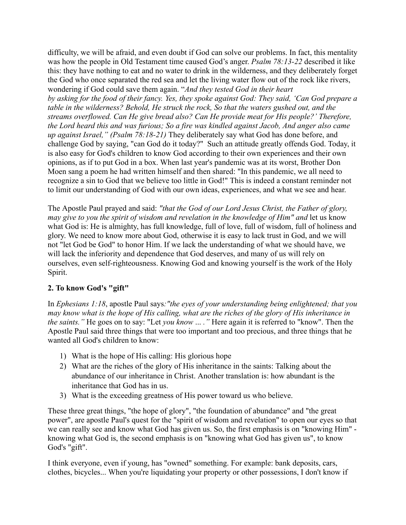difficulty, we will be afraid, and even doubt if God can solve our problems. In fact, this mentality was how the people in Old Testament time caused God's anger. *Psalm 78:13-22* described it like this: they have nothing to eat and no water to drink in the wilderness, and they deliberately forget the God who once separated the red sea and let the living water flow out of the rock like rivers, wondering if God could save them again. "*And they tested God in their heart by asking for the food of their fancy. Yes, they spoke against God: They said, 'Can God prepare a table in the wilderness? Behold, He struck the rock, So that the waters gushed out, and the streams overflowed. Can He give bread also? Can He provide meat for His people?' Therefore, the Lord heard this and was furious; So a fire was kindled against Jacob, And anger also came up against Israel," (Psalm 78:18-21)* They deliberately say what God has done before, and challenge God by saying, "can God do it today?" Such an attitude greatly offends God. Today, it is also easy for God's children to know God according to their own experiences and their own opinions, as if to put God in a box. When last year's pandemic was at its worst, Brother Don Moen sang a poem he had written himself and then shared: "In this pandemic, we all need to recognize a sin to God that we believe too little in God!" This is indeed a constant reminder not to limit our understanding of God with our own ideas, experiences, and what we see and hear.

The Apostle Paul prayed and said: *"that the God of our Lord Jesus Christ, the Father of glory, may give to you the spirit of wisdom and revelation in the knowledge of Him" and* let us know what God is: He is almighty, has full knowledge, full of love, full of wisdom, full of holiness and glory. We need to know more about God, otherwise it is easy to lack trust in God, and we will not "let God be God" to honor Him. If we lack the understanding of what we should have, we will lack the inferiority and dependence that God deserves, and many of us will rely on ourselves, even self-righteousness. Knowing God and knowing yourself is the work of the Holy Spirit.

## **2. To know God's "gift"**

In *Ephesians 1:18*, apostle Paul says*:"the eyes of your understanding being enlightened; that you may know what is the hope of His calling, what are the riches of the glory of His inheritance in the saints."* He goes on to say: "Let *you know* ... *."* Here again it is referred to "know". Then the Apostle Paul said three things that were too important and too precious, and three things that he wanted all God's children to know:

- 1) What is the hope of His calling: His glorious hope
- 2) What are the riches of the glory of His inheritance in the saints: Talking about the abundance of our inheritance in Christ. Another translation is: how abundant is the inheritance that God has in us.
- 3) What is the exceeding greatness of His power toward us who believe.

These three great things, "the hope of glory", "the foundation of abundance" and "the great power", are apostle Paul's quest for the "spirit of wisdom and revelation" to open our eyes so that we can really see and know what God has given us. So, the first emphasis is on "knowing Him" knowing what God is, the second emphasis is on "knowing what God has given us", to know God's "gift".

I think everyone, even if young, has "owned" something. For example: bank deposits, cars, clothes, bicycles... When you're liquidating your property or other possessions, I don't know if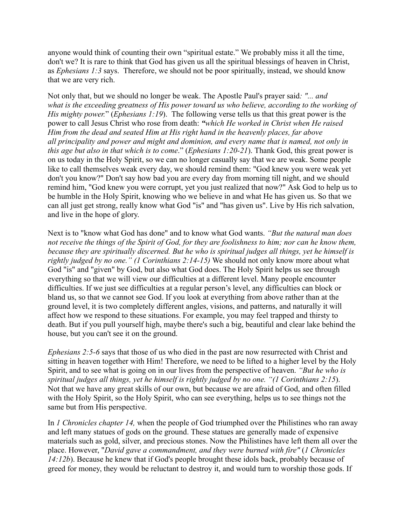anyone would think of counting their own "spiritual estate." We probably miss it all the time, don't we? It is rare to think that God has given us all the spiritual blessings of heaven in Christ, as *Ephesians 1:3* says. Therefore, we should not be poor spiritually, instead, we should know that we are very rich.

Not only that, but we should no longer be weak. The Apostle Paul's prayer said*: "... and what is the exceeding greatness of His power toward us who believe, according to the working of His mighty power.*" (*Ephesians 1:19*). The following verse tells us that this great power is the power to call Jesus Christ who rose from death: *"which He worked in Christ when He raised Him from the dead and seated Him at His right hand in the heavenly places, far above all principality and power and might and dominion, and every name that is named, not only in this age but also in that which is to come*." (*Ephesians 1:20-21*). Thank God, this great power is on us today in the Holy Spirit, so we can no longer casually say that we are weak. Some people like to call themselves weak every day, we should remind them: "God knew you were weak yet don't you know?" Don't say how bad you are every day from morning till night, and we should remind him, "God knew you were corrupt, yet you just realized that now?" Ask God to help us to be humble in the Holy Spirit, knowing who we believe in and what He has given us. So that we can all just get strong, really know what God "is" and "has given us". Live by His rich salvation, and live in the hope of glory.

Next is to "know what God has done" and to know what God wants. *"But the natural man does not receive the things of the Spirit of God, for they are foolishness to him; nor can he know them, because they are spiritually discerned. But he who is spiritual judges all things, yet he himself is rightly judged by no one." (1 Corinthians 2:14-15)* We should not only know more about what God "is" and "given" by God, but also what God does. The Holy Spirit helps us see through everything so that we will view our difficulties at a different level. Many people encounter difficulties. If we just see difficulties at a regular person's level, any difficulties can block or bland us, so that we cannot see God. If you look at everything from above rather than at the ground level, it is two completely different angles, visions, and patterns, and naturally it will affect how we respond to these situations. For example, you may feel trapped and thirsty to death. But if you pull yourself high, maybe there's such a big, beautiful and clear lake behind the house, but you can't see it on the ground.

*Ephesians 2:5-6* says that those of us who died in the past are now resurrected with Christ and sitting in heaven together with Him! Therefore, we need to be lifted to a higher level by the Holy Spirit, and to see what is going on in our lives from the perspective of heaven. *"But he who is spiritual judges all things, yet he himself is rightly judged by no one. "(1 Corinthians 2:15*). Not that we have any great skills of our own, but because we are afraid of God, and often filled with the Holy Spirit, so the Holy Spirit, who can see everything, helps us to see things not the same but from His perspective.

In *1 Chronicles chapter 14,* when the people of God triumphed over the Philistines who ran away and left many statues of gods on the ground. These statues are generally made of expensive materials such as gold, silver, and precious stones. Now the Philistines have left them all over the place. However, "*David gave a commandment, and they were burned with fire"* (*1 Chronicles 14:12b*). Because he knew that if God's people brought these idols back, probably because of greed for money, they would be reluctant to destroy it, and would turn to worship those gods. If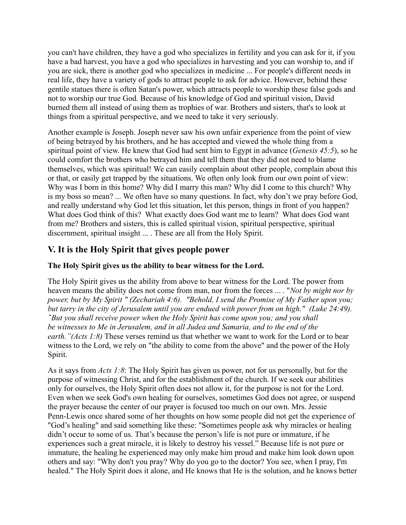you can't have children, they have a god who specializes in fertility and you can ask for it, if you have a bad harvest, you have a god who specializes in harvesting and you can worship to, and if you are sick, there is another god who specializes in medicine ... For people's different needs in real life, they have a variety of gods to attract people to ask for advice. However, behind these gentile statues there is often Satan's power, which attracts people to worship these false gods and not to worship our true God. Because of his knowledge of God and spiritual vision, David burned them all instead of using them as trophies of war. Brothers and sisters, that's to look at things from a spiritual perspective, and we need to take it very seriously.

Another example is Joseph. Joseph never saw his own unfair experience from the point of view of being betrayed by his brothers, and he has accepted and viewed the whole thing from a spiritual point of view. He knew that God had sent him to Egypt in advance (*Genesis 45:5*), so he could comfort the brothers who betrayed him and tell them that they did not need to blame themselves, which was spiritual! We can easily complain about other people, complain about this or that, or easily get trapped by the situations. We often only look from our own point of view: Why was I born in this home? Why did I marry this man? Why did I come to this church? Why is my boss so mean? ... We often have so many questions. In fact, why don't we pray before God, and really understand why God let this situation, let this person, things in front of you happen? What does God think of this? What exactly does God want me to learn? What does God want from me? Brothers and sisters, this is called spiritual vision, spiritual perspective, spiritual discernment, spiritual insight ... . These are all from the Holy Spirit.

# **V. It is the Holy Spirit that gives people power**

## **The Holy Spirit gives us the ability to bear witness for the Lord.**

The Holy Spirit gives us the ability from above to bear witness for the Lord. The power from heaven means the ability does not come from man, nor from the forces ... . "*Not by might nor by power, but by My Spirit " (Zechariah 4:6). "Behold, I send the Promise of My Father upon you; but tarry in the city of Jerusalem until you are endued with power from on high." (Luke 24:49).* **"***But you shall receive power when the Holy Spirit has come upon you; and you shall be witnesses to Me in Jerusalem, and in all Judea and Samaria, and to the end of the earth."(Acts 1:8)* These verses remind us that whether we want to work for the Lord or to bear witness to the Lord, we rely on "the ability to come from the above" and the power of the Holy Spirit.

As it says from *Acts 1:8*: The Holy Spirit has given us power, not for us personally, but for the purpose of witnessing Christ, and for the establishment of the church. If we seek our abilities only for ourselves, the Holy Spirit often does not allow it, for the purpose is not for the Lord. Even when we seek God's own healing for ourselves, sometimes God does not agree, or suspend the prayer because the center of our prayer is focused too much on our own. Mrs. Jessie Penn-Lewis once shared some of her thoughts on how some people did not get the experience of "God's healing" and said something like these: "Sometimes people ask why miracles or healing didn't occur to some of us. That's because the person's life is not pure or immature, if he experiences such a great miracle, it is likely to destroy his vessel." Because life is not pure or immature, the healing he experienced may only make him proud and make him look down upon others and say: "Why don't you pray? Why do you go to the doctor? You see, when I pray, I'm healed." The Holy Spirit does it alone, and He knows that He is the solution, and he knows better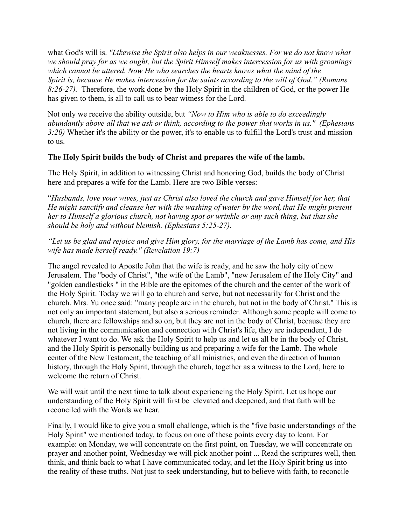what God's will is. *"Likewise the Spirit also helps in our weaknesses. For we do not know what we should pray for as we ought, but the Spirit Himself makes intercession for us with groanings which cannot be uttered. Now He who searches the hearts knows what the mind of the Spirit is, because He makes intercession for the saints according to the will of God." (Romans 8:26-27).* Therefore, the work done by the Holy Spirit in the children of God, or the power He has given to them, is all to call us to bear witness for the Lord.

Not only we receive the ability outside, but *"Now to Him who is able to do exceedingly abundantly above all that we ask or think, according to the power that works in us." (Ephesians 3:20)* Whether it's the ability or the power, it's to enable us to fulfill the Lord's trust and mission to us.

#### **The Holy Spirit builds the body of Christ and prepares the wife of the lamb.**

The Holy Spirit, in addition to witnessing Christ and honoring God, builds the body of Christ here and prepares a wife for the Lamb. Here are two Bible verses:

"*Husbands, love your wives, just as Christ also loved the church and gave Himself for her, that He might sanctify and cleanse her with the washing of water by the word, that He might present her to Himself a glorious church, not having spot or wrinkle or any such thing, but that she should be holy and without blemish. (Ephesians 5:25-27).*

*"Let us be glad and rejoice and give Him glory, for the marriage of the Lamb has come, and His wife has made herself ready." (Revelation 19:7)*

The angel revealed to Apostle John that the wife is ready, and he saw the holy city of new Jerusalem. The "body of Christ", "the wife of the Lamb", "new Jerusalem of the Holy City" and "golden candlesticks " in the Bible are the epitomes of the church and the center of the work of the Holy Spirit. Today we will go to church and serve, but not necessarily for Christ and the church. Mrs. Yu once said: "many people are in the church, but not in the body of Christ." This is not only an important statement, but also a serious reminder. Although some people will come to church, there are fellowships and so on, but they are not in the body of Christ, because they are not living in the communication and connection with Christ's life, they are independent, I do whatever I want to do. We ask the Holy Spirit to help us and let us all be in the body of Christ, and the Holy Spirit is personally building us and preparing a wife for the Lamb. The whole center of the New Testament, the teaching of all ministries, and even the direction of human history, through the Holy Spirit, through the church, together as a witness to the Lord, here to welcome the return of Christ.

We will wait until the next time to talk about experiencing the Holy Spirit. Let us hope our understanding of the Holy Spirit will first be elevated and deepened, and that faith will be reconciled with the Words we hear.

Finally, I would like to give you a small challenge, which is the "five basic understandings of the Holy Spirit" we mentioned today, to focus on one of these points every day to learn. For example: on Monday, we will concentrate on the first point, on Tuesday, we will concentrate on prayer and another point, Wednesday we will pick another point ... Read the scriptures well, then think, and think back to what I have communicated today, and let the Holy Spirit bring us into the reality of these truths. Not just to seek understanding, but to believe with faith, to reconcile